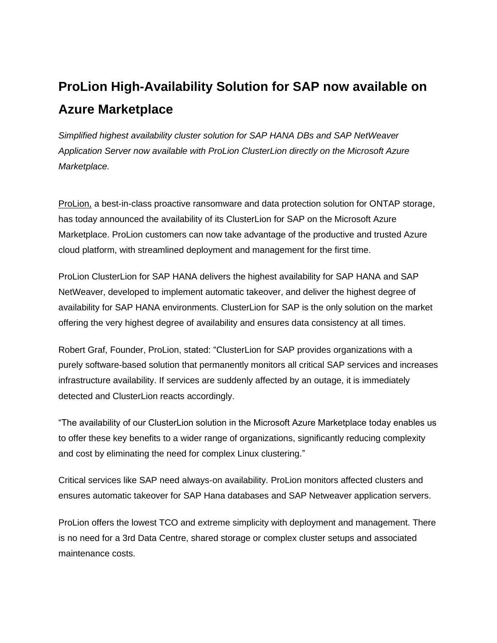## **ProLion High-Availability Solution for SAP now available on Azure Marketplace**

*Simplified highest availability cluster solution for SAP HANA DBs and SAP NetWeaver Application Server now available with ProLion ClusterLion directly on the Microsoft Azure Marketplace.*

[ProLion,](https://prolion.com/) a best-in-class proactive ransomware and data protection solution for ONTAP storage, has today announced the availability of its ClusterLion for SAP on the Microsoft Azure Marketplace. ProLion customers can now take advantage of the productive and trusted Azure cloud platform, with streamlined deployment and management for the first time.

ProLion ClusterLion for SAP HANA delivers the highest availability for SAP HANA and SAP NetWeaver, developed to implement automatic takeover, and deliver the highest degree of availability for SAP HANA environments. ClusterLion for SAP is the only solution on the market offering the very highest degree of availability and ensures data consistency at all times.

Robert Graf, Founder, ProLion, stated: "ClusterLion for SAP provides organizations with a purely software-based solution that permanently monitors all critical SAP services and increases infrastructure availability. If services are suddenly affected by an outage, it is immediately detected and ClusterLion reacts accordingly.

"The availability of our ClusterLion solution in the Microsoft Azure Marketplace today enables us to offer these key benefits to a wider range of organizations, significantly reducing complexity and cost by eliminating the need for complex Linux clustering."

Critical services like SAP need always-on availability. ProLion monitors affected clusters and ensures automatic takeover for SAP Hana databases and SAP Netweaver application servers.

ProLion offers the lowest TCO and extreme simplicity with deployment and management. There is no need for a 3rd Data Centre, shared storage or complex cluster setups and associated maintenance costs.